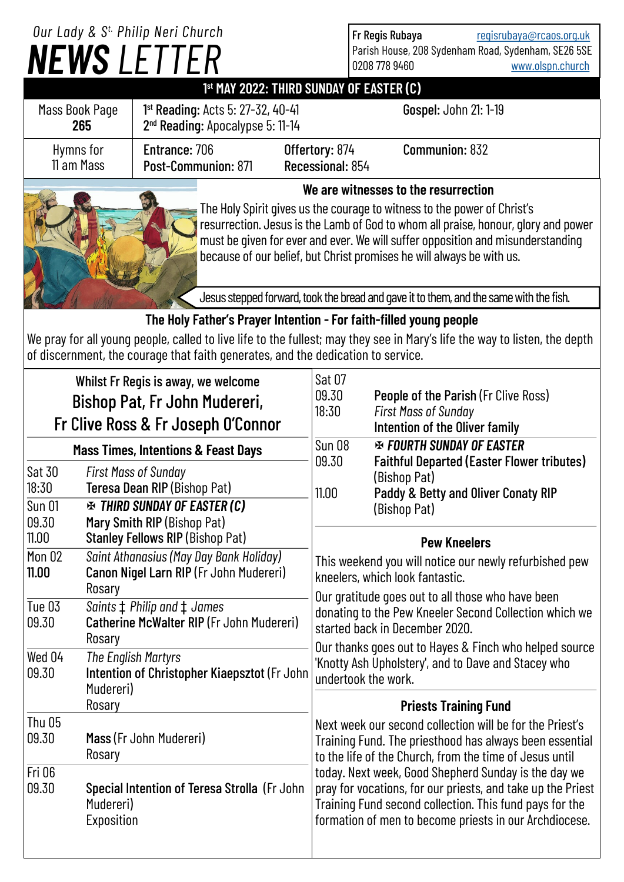## *NEWS LETTER Our Lady & S t. Philip Neri Church*

Fr Regis Rubaya [regisrubaya@rcaos.org.uk](mailto:regisrubaya@rcaos.org.uk) Parish House, 208 Sydenham Road, Sydenham, SE26 5SE<br>0208 778 9460 www.olspn.church [www.olspn.church](http://www.olspn.church)

## **1 st MAY 2022: THIRD SUNDAY OF EASTER (C)**

| Mass Book Page<br>265                                                                                                                                                                                                                                                                                                      | 1 <sup>st</sup> Reading: Acts 5: 27-32, 40-41<br>2 <sup>nd</sup> Reading: Apocalypse 5: 11-14 |                                    | Gospel: John 21: 1-19 |  |  |
|----------------------------------------------------------------------------------------------------------------------------------------------------------------------------------------------------------------------------------------------------------------------------------------------------------------------------|-----------------------------------------------------------------------------------------------|------------------------------------|-----------------------|--|--|
| Hymns for<br>11 am Mass                                                                                                                                                                                                                                                                                                    | Entrance: 706<br>Post-Communion: 871                                                          | Offertory: 874<br>Recessional: 854 | Communion: 832        |  |  |
| We are witnesses to the resurrection                                                                                                                                                                                                                                                                                       |                                                                                               |                                    |                       |  |  |
| The Holy Spirit gives us the courage to witness to the power of Christ's<br>resurrection. Jesus is the Lamb of God to whom all praise, honour, glory and power<br>must be given for ever and ever. We will suffer opposition and misunderstanding<br>because of our belief, but Christ promises he will always be with us. |                                                                                               |                                    |                       |  |  |
|                                                                                                                                                                                                                                                                                                                            | Jesus stepped forward, took the bread and gave it to them, and the same with the fish.        |                                    |                       |  |  |
| The Holy Father's Prayer Intention - For faith-filled young people                                                                                                                                                                                                                                                         |                                                                                               |                                    |                       |  |  |
| We pray for all young people, called to live life to the fullest; may they see in Mary's life the way to listen, the depth<br>of discernment, the courage that faith generates, and the dedication to service.                                                                                                             |                                                                                               |                                    |                       |  |  |

| Whilst Fr Regis is away, we welcome<br>Bishop Pat, Fr John Mudereri,<br>Fr Clive Ross & Fr Joseph O'Connor    |                                                                                              | Sat 07<br>09.30<br>18:30                                                                                                                      | People of the Parish (Fr Clive Ross)<br><b>First Mass of Sunday</b><br>Intention of the Oliver family                                                                                                                                    |  |  |
|---------------------------------------------------------------------------------------------------------------|----------------------------------------------------------------------------------------------|-----------------------------------------------------------------------------------------------------------------------------------------------|------------------------------------------------------------------------------------------------------------------------------------------------------------------------------------------------------------------------------------------|--|--|
| <b>Mass Times, Intentions &amp; Feast Days</b>                                                                |                                                                                              | <b>Sun 08</b><br>09.30                                                                                                                        | <b>EX FOURTH SUNDAY OF EASTER</b><br><b>Faithful Departed (Easter Flower tributes)</b>                                                                                                                                                   |  |  |
| Sat 30<br>18:30                                                                                               | <b>First Mass of Sunday</b><br>Teresa Dean RIP (Bishop Pat)                                  | 11.00                                                                                                                                         | (Bishop Pat)<br>Paddy & Betty and Oliver Conaty RIP                                                                                                                                                                                      |  |  |
| <b>Sun 01</b><br>09.30                                                                                        | <b>EXAMPLE THIRD SUNDAY OF EASTER (C)</b><br>Mary Smith RIP (Bishop Pat)                     |                                                                                                                                               | (Bishop Pat)                                                                                                                                                                                                                             |  |  |
| 11.00                                                                                                         | <b>Stanley Fellows RIP (Bishop Pat)</b>                                                      |                                                                                                                                               | <b>Pew Kneelers</b>                                                                                                                                                                                                                      |  |  |
| Mon 02<br>11.00                                                                                               | Saint Athanasius (May Day Bank Holiday)<br>Canon Nigel Larn RIP (Fr John Mudereri)<br>Rosary |                                                                                                                                               | This weekend you will notice our newly refurbished pew<br>kneelers, which look fantastic.                                                                                                                                                |  |  |
| Tue 03<br>09.30                                                                                               | Saints $\ddagger$ Philip and $\ddagger$ James<br>Catherine McWalter RIP (Fr John Mudereri)   | Our gratitude goes out to all those who have been<br>donating to the Pew Kneeler Second Collection which we<br>started back in December 2020. |                                                                                                                                                                                                                                          |  |  |
| Rosary<br>Wed 04<br>The English Martyrs<br>Intention of Christopher Kiaepsztot (Fr John<br>09.30<br>Mudereri) |                                                                                              | Our thanks goes out to Hayes & Finch who helped source<br>'Knotty Ash Upholstery', and to Dave and Stacey who<br>undertook the work.          |                                                                                                                                                                                                                                          |  |  |
|                                                                                                               | Rosary                                                                                       | <b>Priests Training Fund</b>                                                                                                                  |                                                                                                                                                                                                                                          |  |  |
| <b>Thu 05</b><br>09.30                                                                                        | Mass (Fr John Mudereri)<br>Rosary                                                            |                                                                                                                                               | Next week our second collection will be for the Priest's<br>Training Fund. The priesthood has always been essential<br>to the life of the Church, from the time of Jesus until                                                           |  |  |
| <b>Fri 06</b><br>09.30                                                                                        | Special Intention of Teresa Strolla (Fr John<br>Mudereri)<br>Exposition                      |                                                                                                                                               | today. Next week, Good Shepherd Sunday is the day we<br>pray for vocations, for our priests, and take up the Priest<br>Training Fund second collection. This fund pays for the<br>formation of men to become priests in our Archdiocese. |  |  |